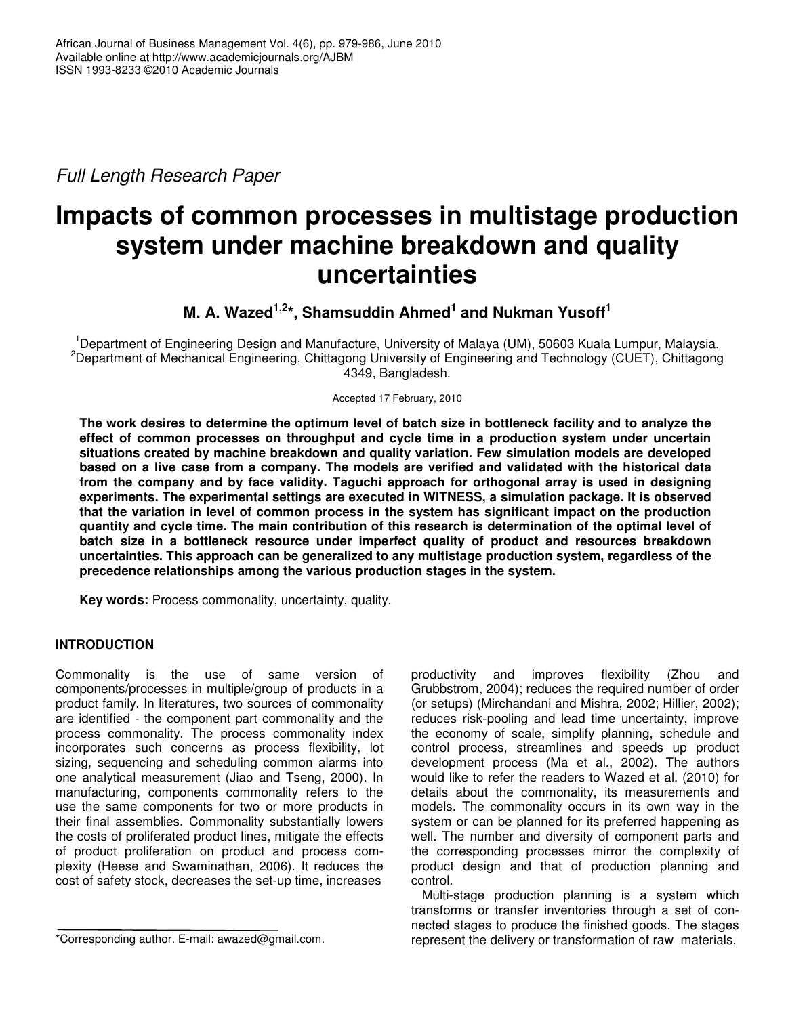*Full Length Research Paper*

# **Impacts of common processes in multistage production system under machine breakdown and quality uncertainties**

# **M. A. Wazed 1,2 \*, Shamsuddin Ahmed 1 and Nukman Yusoff 1**

<sup>1</sup>Department of Engineering Design and Manufacture, University of Malaya (UM), 50603 Kuala Lumpur, Malaysia. <sup>2</sup>Department of Mechanical Engineering, Chittagong University of Engineering and Technology (CUET), Chittagong 4349, Bangladesh.

Accepted 17 February, 2010

The work desires to determine the optimum level of batch size in bottleneck facility and to analyze the **effect of common processes on throughput and cycle time in a production system under uncertain situations created by machine breakdown and quality variation. Few simulation models are developed** based on a live case from a company. The models are verified and validated with the historical data **from the company and by face validity. Taguchi approach for orthogonal array is used in designing experiments. The experimental settings are executed in WITNESS, a simulation package. It is observed that the variation in level of common process in the system has significant impact on the production quantity and cycle time. The main contribution of this research is determination of the optimal level of batch size in a bottleneck resource under imperfect quality of product and resources breakdown uncertainties. This approach can be generalized to any multistage production system, regardless of the precedence relationships among the various production stages in the system.**

**Key words:** Process commonality, uncertainty, quality.

# **INTRODUCTION**

Commonality is the use of same version of components/processes in multiple/group of products in a product family. In literatures, two sources of commonality are identified - the component part commonality and the process commonality. The process commonality index incorporates such concerns as process flexibility, lot sizing, sequencing and scheduling common alarms into one analytical measurement (Jiao and Tseng, 2000). In manufacturing, components commonality refers to the use the same components for two or more products in their final assemblies. Commonality substantially lowers the costs of proliferated product lines, mitigate the effects of product proliferation on product and process complexity (Heese and Swaminathan, 2006). It reduces the cost of safety stock, decreases the set-up time, increases

productivity and improves flexibility (Zhou and Grubbstrom, 2004); reduces the required number of order (or setups) (Mirchandani and Mishra, 2002; Hillier, 2002); reduces risk-pooling and lead time uncertainty, improve the economy of scale, simplify planning, schedule and control process, streamlines and speeds up product development process (Ma et al., 2002). The authors would like to refer the readers to Wazed et al. (2010) for details about the commonality, its measurements and models. The commonality occurs in its own way in the system or can be planned for its preferred happening as well. The number and diversity of component parts and the corresponding processes mirror the complexity of product design and that of production planning and control.

Multi-stage production planning is a system which transforms or transfer inventories through a set of connected stages to produce the finished goods. The stages represent the delivery or transformation of raw materials,

<sup>\*</sup>Corresponding author. E-mail: awazed@gmail.com.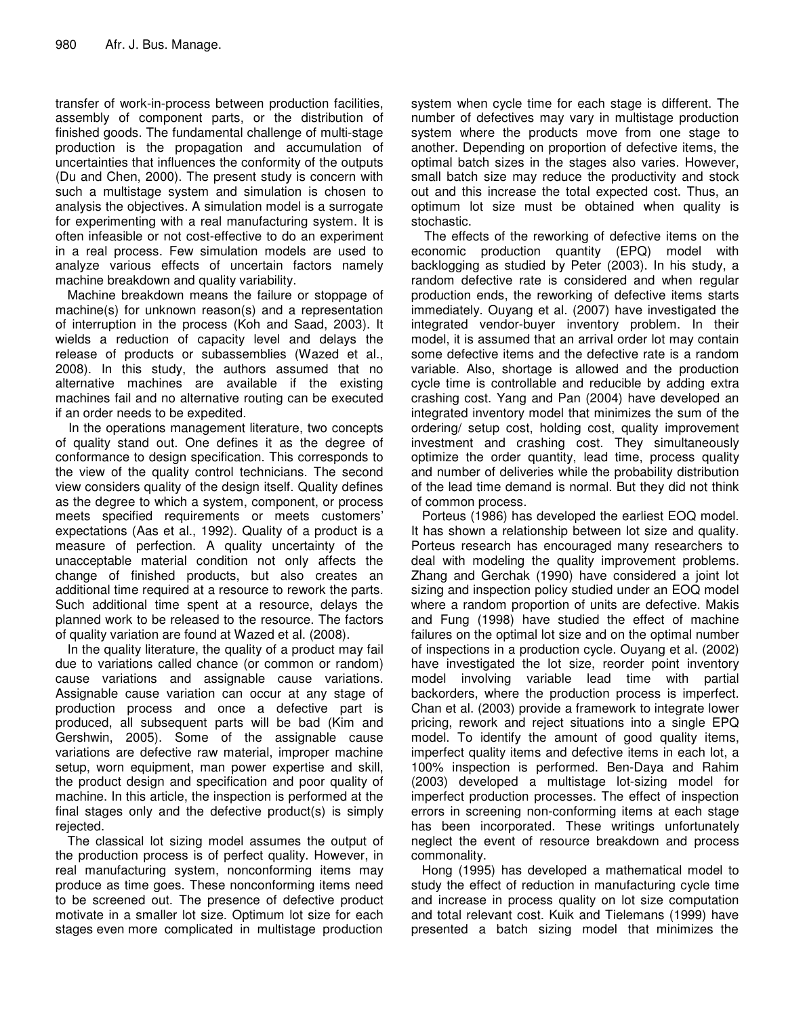transfer of work-in-process between production facilities, assembly of component parts, or the distribution of finished goods. The fundamental challenge of multi-stage production is the propagation and accumulation of uncertainties that influences the conformity of the outputs (Du and Chen, 2000). The present study is concern with such a multistage system and simulation is chosen to analysis the objectives. A simulation model is a surrogate for experimenting with a real manufacturing system. It is often infeasible or not cost-effective to do an experiment in a real process. Few simulation models are used to analyze various effects of uncertain factors namely machine breakdown and quality variability.

Machine breakdown means the failure or stoppage of machine(s) for unknown reason(s) and a representation of interruption in the process (Koh and Saad, 2003). It wields a reduction of capacity level and delays the release of products or subassemblies (Wazed et al., 2008). In this study, the authors assumed that no alternative machines are available if the existing machines fail and no alternative routing can be executed if an order needs to be expedited.

In the operations management literature, two concepts of quality stand out. One defines it as the degree of conformance to design specification. This corresponds to the view of the quality control technicians. The second view considers quality of the design itself. Quality defines as the degree to which a system, component, or process meets specified requirements or meets customers' expectations (Aas et al., 1992). Quality of a product is a measure of perfection. A quality uncertainty of the unacceptable material condition not only affects the change of finished products, but also creates an additional time required at a resource to rework the parts. Such additional time spent at a resource, delays the planned work to be released to the resource. The factors of quality variation are found at Wazed et al. (2008).

In the quality literature, the quality of a product may fail due to variations called chance (or common or random) cause variations and assignable cause variations. Assignable cause variation can occur at any stage of production process and once a defective part is produced, all subsequent parts will be bad (Kim and Gershwin, 2005). Some of the assignable cause variations are defective raw material, improper machine setup, worn equipment, man power expertise and skill, the product design and specification and poor quality of machine. In this article, the inspection is performed at the final stages only and the defective product(s) is simply rejected.

The classical lot sizing model assumes the output of the production process is of perfect quality. However, in real manufacturing system, nonconforming items may produce as time goes. These nonconforming items need to be screened out. The presence of defective product motivate in a smaller lot size. Optimum lot size for each stages even more complicated in multistage production

system when cycle time for each stage is different. The number of defectives may vary in multistage production system where the products move from one stage to another. Depending on proportion of defective items, the optimal batch sizes in the stages also varies. However, small batch size may reduce the productivity and stock out and this increase the total expected cost. Thus, an optimum lot size must be obtained when quality is stochastic.

The effects of the reworking of defective items on the economic production quantity (EPQ) model with backlogging as studied by Peter (2003). In his study, a random defective rate is considered and when regular production ends, the reworking of defective items starts immediately. Ouyang et al. (2007) have investigated the integrated vendor-buyer inventory problem. In their model, it is assumed that an arrival order lot may contain some defective items and the defective rate is a random variable. Also, shortage is allowed and the production cycle time is controllable and reducible by adding extra crashing cost. Yang and Pan (2004) have developed an integrated inventory model that minimizes the sum of the ordering/ setup cost, holding cost, quality improvement investment and crashing cost. They simultaneously optimize the order quantity, lead time, process quality and number of deliveries while the probability distribution of the lead time demand is normal. But they did not think of common process.

Porteus (1986) has developed the earliest EOQ model. It has shown a relationship between lot size and quality. Porteus research has encouraged many researchers to deal with modeling the quality improvement problems. Zhang and Gerchak (1990) have considered a joint lot sizing and inspection policy studied under an EOQ model where a random proportion of units are defective. Makis and Fung (1998) have studied the effect of machine failures on the optimal lot size and on the optimal number of inspections in a production cycle. Ouyang et al. (2002) have investigated the lot size, reorder point inventory model involving variable lead time with partial backorders, where the production process is imperfect. Chan et al. (2003) provide a framework to integrate lower pricing, rework and reject situations into a single EPQ model. To identify the amount of good quality items, imperfect quality items and defective items in each lot, a 100% inspection is performed. Ben-Daya and Rahim (2003) developed a multistage lot-sizing model for imperfect production processes. The effect of inspection errors in screening non-conforming items at each stage has been incorporated. These writings unfortunately neglect the event of resource breakdown and process commonality.

Hong (1995) has developed a mathematical model to study the effect of reduction in manufacturing cycle time and increase in process quality on lot size computation and total relevant cost. Kuik and Tielemans (1999) have presented a batch sizing model that minimizes the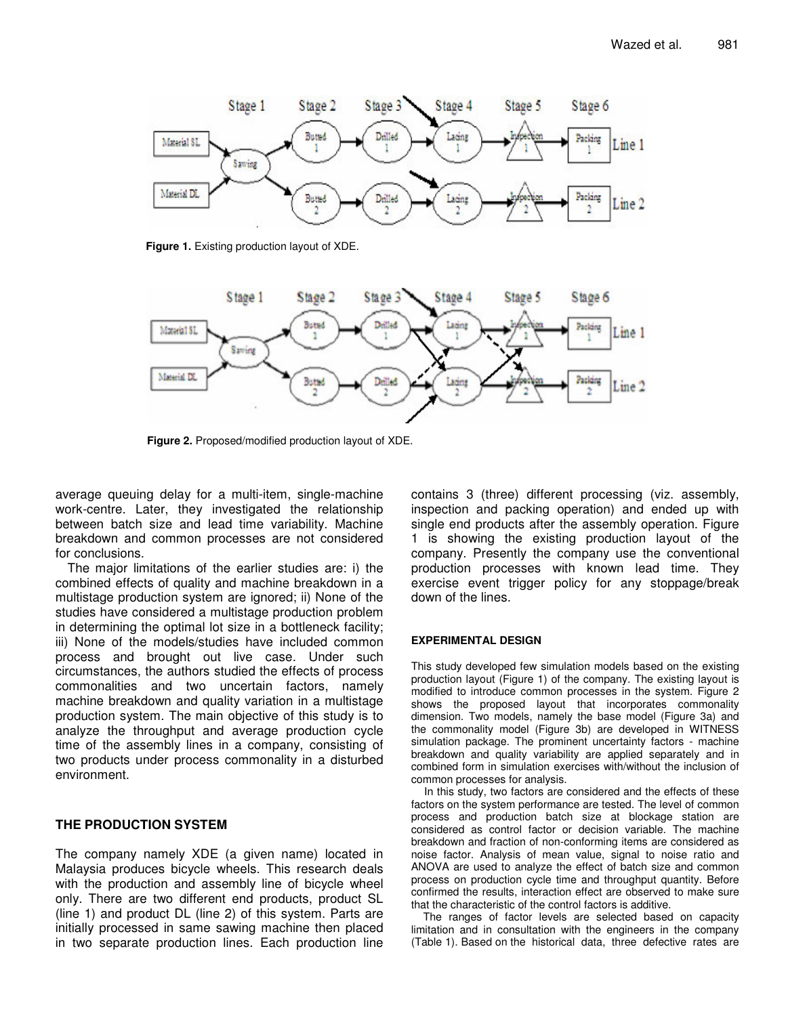

**Figure 1.** Existing production layout of XDE.



**Figure 2.** Proposed/modified production layout of XDE.

average queuing delay for a multi-item, single-machine work-centre. Later, they investigated the relationship between batch size and lead time variability. Machine breakdown and common processes are not considered for conclusions.

The major limitations of the earlier studies are: i) the combined effects of quality and machine breakdown in a multistage production system are ignored; ii) None of the studies have considered a multistage production problem in determining the optimal lot size in a bottleneck facility; iii) None of the models/studies have included common process and brought out live case. Under such circumstances, the authors studied the effects of process commonalities and two uncertain factors, namely machine breakdown and quality variation in a multistage production system. The main objective of this study is to analyze the throughput and average production cycle time of the assembly lines in a company, consisting of two products under process commonality in a disturbed environment.

## **THE PRODUCTION SYSTEM**

The company namely XDE (a given name) located in Malaysia produces bicycle wheels. This research deals with the production and assembly line of bicycle wheel only. There are two different end products, product SL (line 1) and product DL (line 2) of this system. Parts are initially processed in same sawing machine then placed in two separate production lines. Each production line contains 3 (three) different processing (viz. assembly, inspection and packing operation) and ended up with single end products after the assembly operation. Figure 1 is showing the existing production layout of the company. Presently the company use the conventional production processes with known lead time. They exercise event trigger policy for any stoppage/break down of the lines.

#### **EXPERIMENTAL DESIGN**

This study developed few simulation models based on the existing production layout (Figure 1) of the company. The existing layout is modified to introduce common processes in the system. Figure 2 shows the proposed layout that incorporates commonality dimension. Two models, namely the base model (Figure 3a) and the commonality model (Figure 3b) are developed in WITNESS simulation package. The prominent uncertainty factors - machine breakdown and quality variability are applied separately and in combined form in simulation exercises with/without the inclusion of common processes for analysis.

In this study, two factors are considered and the effects of these factors on the system performance are tested. The level of common process and production batch size at blockage station are considered as control factor or decision variable. The machine breakdown and fraction of non-conforming items are considered as noise factor. Analysis of mean value, signal to noise ratio and ANOVA are used to analyze the effect of batch size and common process on production cycle time and throughput quantity. Before confirmed the results, interaction effect are observed to make sure that the characteristic of the control factors is additive.

The ranges of factor levels are selected based on capacity limitation and in consultation with the engineers in the company (Table 1). Based on the historical data, three defective rates are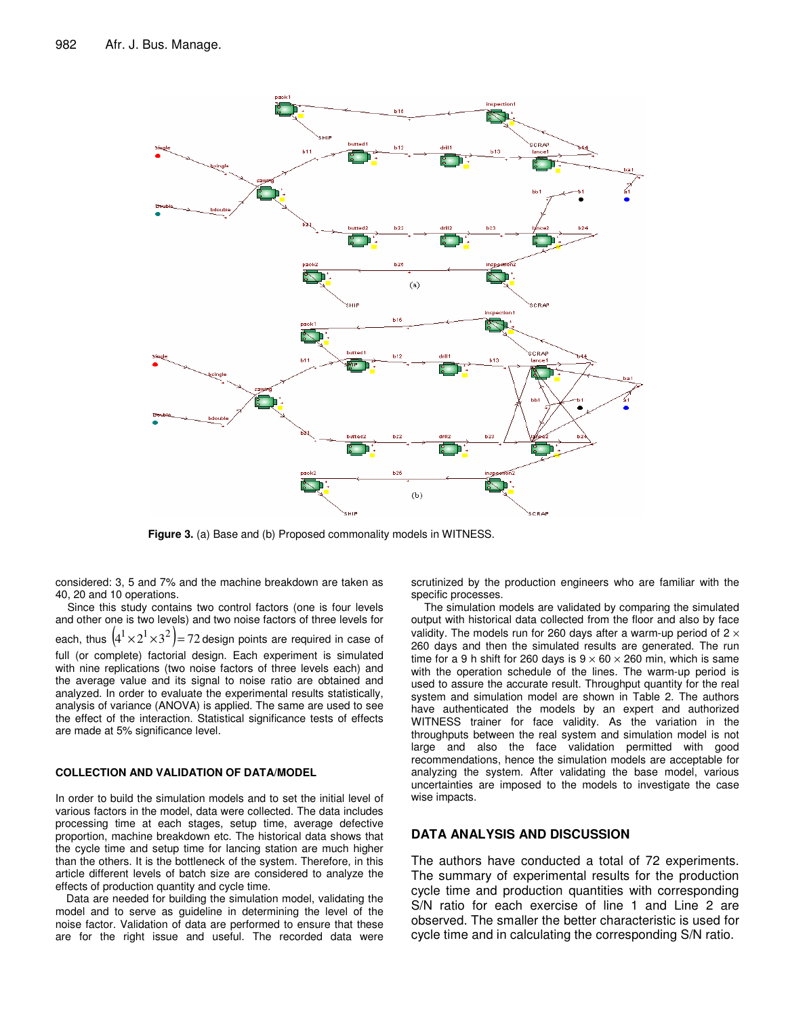

**Figure 3.** (a) Base and (b) Proposed commonality models in WITNESS.

considered: 3, 5 and 7% and the machine breakdown are taken as 40, 20 and 10 operations.

Since this study contains two control factors (one is four levels and other one is two levels) and two noise factors of three levels for each, thus  $\left(4^{1}\!\times\!2^{1}\!\times\!3^{2}\right)\!=\!72$  design points are required in case of full (or complete) factorial design. Each experiment is simulated with nine replications (two noise factors of three levels each) and the average value and its signal to noise ratio are obtained and analyzed. In order to evaluate the experimental results statistically, analysis of variance (ANOVA) is applied. The same are used to see the effect of the interaction. Statistical significance tests of effects are made at 5% significance level.

#### **COLLECTION AND VALIDATION OF DATA/MODEL**

In order to build the simulation models and to set the initial level of various factors in the model, data were collected. The data includes processing time at each stages, setup time, average defective proportion, machine breakdown etc. The historical data shows that the cycle time and setup time for lancing station are much higher than the others. It is the bottleneck of the system. Therefore, in this article different levels of batch size are considered to analyze the effects of production quantity and cycle time.

Data are needed for building the simulation model, validating the model and to serve as guideline in determining the level of the noise factor. Validation of data are performed to ensure that these are for the right issue and useful. The recorded data were scrutinized by the production engineers who are familiar with the specific processes.

The simulation models are validated by comparing the simulated output with historical data collected from the floor and also by face validity. The models run for 260 days after a warm-up period of  $2 \times$ 260 days and then the simulated results are generated. The run time for a 9 h shift for 260 days is  $9 \times 60 \times 260$  min, which is same with the operation schedule of the lines. The warm-up period is used to assure the accurate result. Throughput quantity for the real system and simulation model are shown in Table 2. The authors have authenticated the models by an expert and authorized WITNESS trainer for face validity. As the variation in the throughputs between the real system and simulation model is not large and also the face validation permitted with good recommendations, hence the simulation models are acceptable for analyzing the system. After validating the base model, various uncertainties are imposed to the models to investigate the case wise impacts.

#### **DATA ANALYSIS AND DISCUSSION**

The authors have conducted a total of 72 experiments. The summary of experimental results for the production cycle time and production quantities with corresponding S/N ratio for each exercise of line 1 and Line 2 are observed. The smaller the better characteristic is used for cycle time and in calculating the corresponding S/N ratio.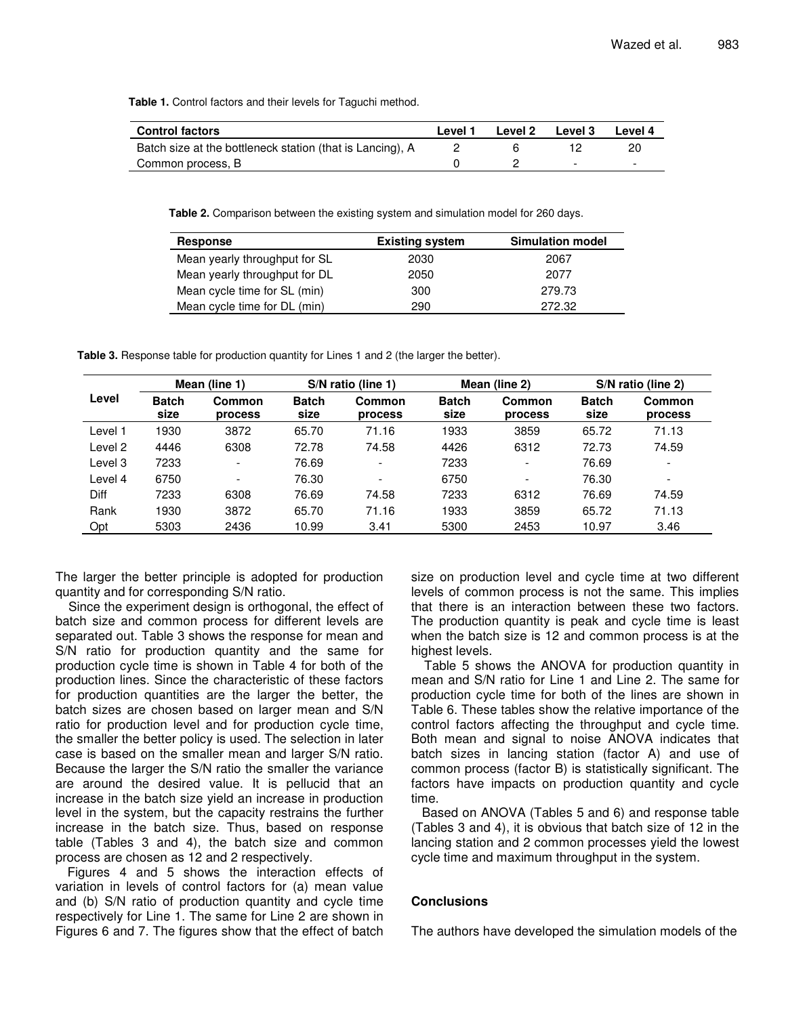**Table 1.** Control factors and their levels for Taguchi method.

| <b>Control factors</b>                                    | Level 1 | Level 2 | <b>Level 3</b>           | Level 4                  |
|-----------------------------------------------------------|---------|---------|--------------------------|--------------------------|
| Batch size at the bottleneck station (that is Lancing), A |         |         |                          |                          |
| Common process, B                                         |         |         | $\overline{\phantom{0}}$ | $\overline{\phantom{0}}$ |

**Table 2.** Comparison between the existing system and simulation model for 260 days.

| <b>Response</b>               | <b>Existing system</b> | <b>Simulation model</b> |
|-------------------------------|------------------------|-------------------------|
| Mean yearly throughput for SL | 2030                   | 2067                    |
| Mean yearly throughput for DL | 2050                   | 2077                    |
| Mean cycle time for SL (min)  | 300                    | 279.73                  |
| Mean cycle time for DL (min)  | 290                    | 272.32                  |

**Table 3.** Response table for production quantity for Lines 1 and 2 (the larger the better).

| Level   |                      | Mean (line 1)            |                      | S/N ratio (line 1)<br>Mean (line 2) |                      |                          | S/N ratio (line 2)   |                          |  |
|---------|----------------------|--------------------------|----------------------|-------------------------------------|----------------------|--------------------------|----------------------|--------------------------|--|
|         | <b>Batch</b><br>size | <b>Common</b><br>process | <b>Batch</b><br>size | Common<br>process                   | <b>Batch</b><br>size | <b>Common</b><br>process | <b>Batch</b><br>size | Common<br>process        |  |
| Level 1 | 1930                 | 3872                     | 65.70                | 71.16                               | 1933                 | 3859                     | 65.72                | 71.13                    |  |
| Level 2 | 4446                 | 6308                     | 72.78                | 74.58                               | 4426                 | 6312                     | 72.73                | 74.59                    |  |
| Level 3 | 7233                 | $\overline{\phantom{0}}$ | 76.69                | -                                   | 7233                 | $\overline{\phantom{a}}$ | 76.69                | $\overline{\phantom{0}}$ |  |
| Level 4 | 6750                 | $\overline{\phantom{0}}$ | 76.30                | $\overline{\phantom{0}}$            | 6750                 | $\overline{\phantom{a}}$ | 76.30                | $\overline{\phantom{a}}$ |  |
| Diff    | 7233                 | 6308                     | 76.69                | 74.58                               | 7233                 | 6312                     | 76.69                | 74.59                    |  |
| Rank    | 1930                 | 3872                     | 65.70                | 71.16                               | 1933                 | 3859                     | 65.72                | 71.13                    |  |
| Opt     | 5303                 | 2436                     | 10.99                | 3.41                                | 5300                 | 2453                     | 10.97                | 3.46                     |  |

The larger the better principle is adopted for production quantity and for corresponding S/N ratio.

Since the experiment design is orthogonal, the effect of batch size and common process for different levels are separated out. Table 3 shows the response for mean and S/N ratio for production quantity and the same for production cycle time is shown in Table 4 for both of the production lines. Since the characteristic of these factors for production quantities are the larger the better, the batch sizes are chosen based on larger mean and S/N ratio for production level and for production cycle time, the smaller the better policy is used. The selection in later case is based on the smaller mean and larger S/N ratio. Because the larger the S/N ratio the smaller the variance are around the desired value. It is pellucid that an increase in the batch size yield an increase in production level in the system, but the capacity restrains the further increase in the batch size. Thus, based on response table (Tables 3 and 4), the batch size and common process are chosen as 12 and 2 respectively.

Figures 4 and 5 shows the interaction effects of variation in levels of control factors for (a) mean value and (b) S/N ratio of production quantity and cycle time respectively for Line 1. The same for Line 2 are shown in Figures 6 and 7. The figures show that the effect of batch size on production level and cycle time at two different levels of common process is not the same. This implies that there is an interaction between these two factors. The production quantity is peak and cycle time is least when the batch size is 12 and common process is at the highest levels.

Table 5 shows the ANOVA for production quantity in mean and S/N ratio for Line 1 and Line 2. The same for production cycle time for both of the lines are shown in Table 6. These tables show the relative importance of the control factors affecting the throughput and cycle time. Both mean and signal to noise ANOVA indicates that batch sizes in lancing station (factor A) and use of common process (factor B) is statistically significant. The factors have impacts on production quantity and cycle time.

Based on ANOVA (Tables 5 and 6) and response table (Tables 3 and 4), it is obvious that batch size of 12 in the lancing station and 2 common processes yield the lowest cycle time and maximum throughput in the system.

### **Conclusions**

The authors have developed the simulation models of the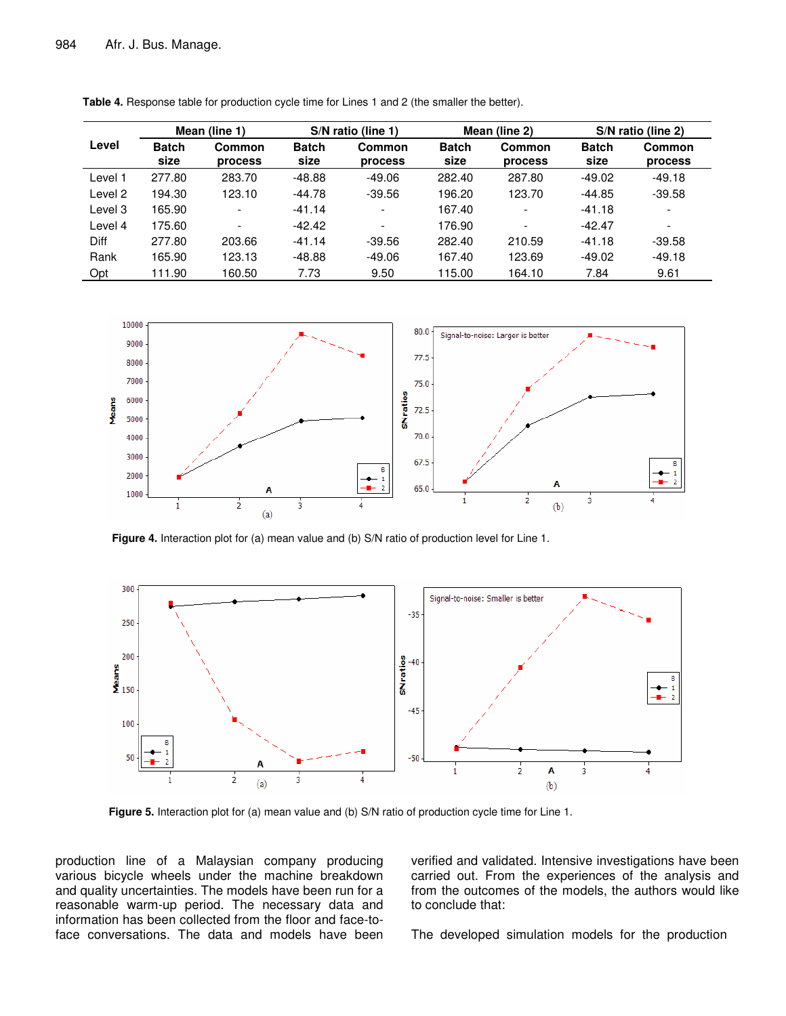|         |                      | Mean (line 1)            | S/N ratio (line 1)   |                          |                      | Mean (line 2)            | S/N ratio (line 2)   |                          |
|---------|----------------------|--------------------------|----------------------|--------------------------|----------------------|--------------------------|----------------------|--------------------------|
| Level   | <b>Batch</b><br>size | <b>Common</b><br>process | <b>Batch</b><br>size | <b>Common</b><br>process | <b>Batch</b><br>size | Common<br>process        | <b>Batch</b><br>size | Common<br>process        |
| Level 1 | 277.80               | 283.70                   | $-48.88$             | $-49.06$                 | 282.40               | 287.80                   | $-49.02$             | -49.18                   |
| Level 2 | 194.30               | 123.10                   | $-44.78$             | $-39.56$                 | 196.20               | 123.70                   | $-44.85$             | -39.58                   |
| Level 3 | 165.90               | $\overline{\phantom{a}}$ | $-41.14$             | $\overline{\phantom{a}}$ | 167.40               | $\overline{\phantom{0}}$ | $-41.18$             | $\overline{\phantom{0}}$ |
| Level 4 | 175.60               | $\overline{\phantom{a}}$ | $-42.42$             | $\overline{\phantom{a}}$ | 176.90               | $\overline{\phantom{0}}$ | $-42.47$             | $\overline{\phantom{0}}$ |
| Diff    | 277.80               | 203.66                   | $-41.14$             | $-39.56$                 | 282.40               | 210.59                   | $-41.18$             | $-39.58$                 |
| Rank    | 165.90               | 123.13                   | $-48.88$             | $-49.06$                 | 167.40               | 123.69                   | $-49.02$             | $-49.18$                 |
| Opt     | 111.90               | 160.50                   | 7.73                 | 9.50                     | 115.00               | 164.10                   | 7.84                 | 9.61                     |

**Table 4.** Response table for production cycle time for Lines 1 and 2 (the smaller the better).



**Figure 4.** Interaction plot for (a) mean value and (b) S/N ratio of production level for Line 1.



**Figure 5.** Interaction plot for (a) mean value and (b) S/N ratio of production cycle time for Line 1.

production line of a Malaysian company producing various bicycle wheels under the machine breakdown and quality uncertainties. The models have been run for a reasonable warm-up period. The necessary data and information has been collected from the floor and face-toface conversations. The data and models have been verified and validated. Intensive investigations have been carried out. From the experiences of the analysis and from the outcomes of the models, the authors would like to conclude that:

The developed simulation models for the production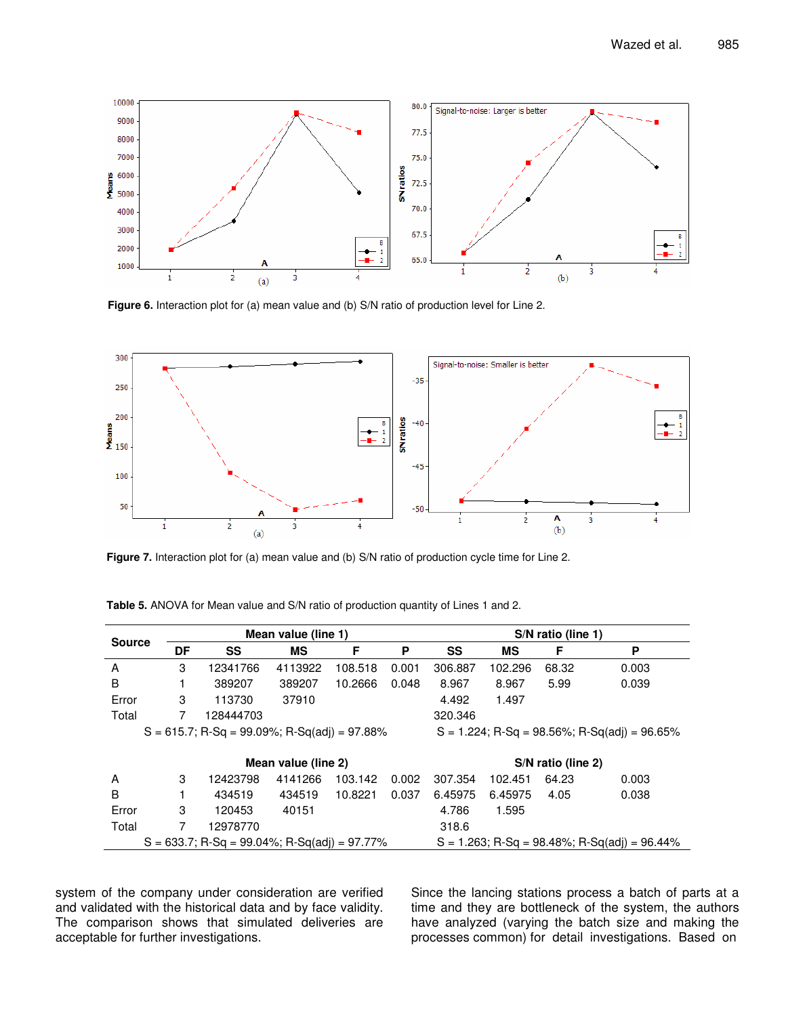

**Figure 6.** Interaction plot for (a) mean value and (b) S/N ratio of production level for Line 2.



**Figure 7.** Interaction plot for (a) mean value and (b) S/N ratio of production cycle time for Line 2.

| <b>Source</b>                                                                                      |    |           | Mean value (line 1) |         |                                                 |         |                    | S/N ratio (line 1) |       |  |
|----------------------------------------------------------------------------------------------------|----|-----------|---------------------|---------|-------------------------------------------------|---------|--------------------|--------------------|-------|--|
|                                                                                                    | DF | SS        | ΜS                  | F       | P                                               | SS      | MS                 | F                  | P     |  |
| A                                                                                                  | 3  | 12341766  | 4113922             | 108.518 | 0.001                                           | 306.887 | 102.296            | 68.32              | 0.003 |  |
| B                                                                                                  |    | 389207    | 389207              | 10.2666 | 0.048                                           | 8.967   | 8.967              | 5.99               | 0.039 |  |
| Error                                                                                              | 3  | 113730    | 37910               |         |                                                 | 4.492   | 1.497              |                    |       |  |
| Total                                                                                              | 7  | 128444703 |                     |         |                                                 | 320.346 |                    |                    |       |  |
| $S = 615.7$ ; R-Sq = 99.09%; R-Sq(adj) = 97.88%                                                    |    |           |                     |         | $S = 1.224$ ; R-Sq = 98.56%; R-Sq(adj) = 96.65% |         |                    |                    |       |  |
|                                                                                                    |    |           |                     |         |                                                 |         |                    |                    |       |  |
|                                                                                                    |    |           | Mean value (line 2) |         |                                                 |         | S/N ratio (line 2) |                    |       |  |
| A                                                                                                  | 3  | 12423798  | 4141266             | 103.142 | 0.002                                           | 307.354 | 102.451            | 64.23              | 0.003 |  |
| B                                                                                                  |    | 434519    | 434519              | 10.8221 | 0.037                                           | 6.45975 | 6.45975            | 4.05               | 0.038 |  |
| Error                                                                                              | 3  | 120453    | 40151               |         |                                                 | 4.786   | 1.595              |                    |       |  |
| Total                                                                                              | 7  | 12978770  |                     |         |                                                 | 318.6   |                    |                    |       |  |
| $S = 633.7$ ; R-Sq = 99.04%; R-Sq(adj) = 97.77%<br>$S = 1.263$ ; R-Sq = 98.48%; R-Sq(adj) = 96.44% |    |           |                     |         |                                                 |         |                    |                    |       |  |

**Table 5.** ANOVA for Mean value and S/N ratio of production quantity of Lines 1 and 2.

system of the company under consideration are verified and validated with the historical data and by face validity. The comparison shows that simulated deliveries are acceptable for further investigations.

Since the lancing stations process a batch of parts at a time and they are bottleneck of the system, the authors have analyzed (varying the batch size and making the processes common) for detail investigations. Based on